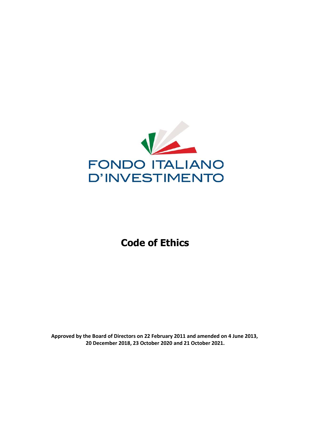

# **Code of Ethics**

**Approved by the Board of Directors on 22 February 2011 and amended on 4 June 2013, 20 December 2018, 23 October 2020 and 21 October 2021.**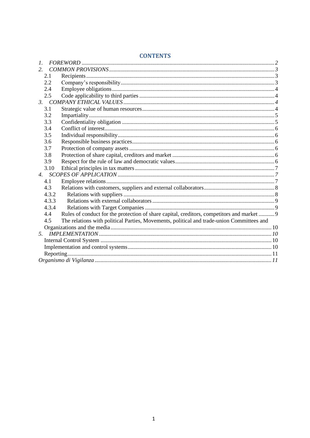| 1.                                                                                               |                                                                                            |  |
|--------------------------------------------------------------------------------------------------|--------------------------------------------------------------------------------------------|--|
| 2 <sup>1</sup>                                                                                   |                                                                                            |  |
| 2.1                                                                                              |                                                                                            |  |
| 2.2                                                                                              |                                                                                            |  |
| 2.4                                                                                              |                                                                                            |  |
| 2.5                                                                                              |                                                                                            |  |
|                                                                                                  |                                                                                            |  |
| 3.1                                                                                              |                                                                                            |  |
| 3.2                                                                                              |                                                                                            |  |
| 3.3                                                                                              |                                                                                            |  |
| 3.4                                                                                              |                                                                                            |  |
| 3.5                                                                                              |                                                                                            |  |
| 3.6                                                                                              |                                                                                            |  |
| 3.7                                                                                              |                                                                                            |  |
| 3.8                                                                                              |                                                                                            |  |
| 3.9                                                                                              |                                                                                            |  |
| 3.10                                                                                             |                                                                                            |  |
|                                                                                                  |                                                                                            |  |
| 4.1                                                                                              |                                                                                            |  |
| 4.3                                                                                              |                                                                                            |  |
| 4.3.2                                                                                            |                                                                                            |  |
| 4.3.3                                                                                            |                                                                                            |  |
| 4.3.4                                                                                            |                                                                                            |  |
| 4.4                                                                                              | Rules of conduct for the protection of share capital, creditors, competitors and market  9 |  |
| The relations with political Parties, Movements, political and trade-union Committees and<br>4.5 |                                                                                            |  |
|                                                                                                  |                                                                                            |  |
| 5.                                                                                               |                                                                                            |  |
|                                                                                                  |                                                                                            |  |
|                                                                                                  |                                                                                            |  |
|                                                                                                  |                                                                                            |  |
|                                                                                                  |                                                                                            |  |

## **CONTENTS**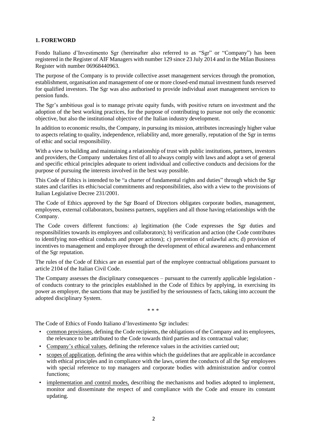## **1. FOREWORD**

Fondo Italiano d'Investimento Sgr (hereinafter also referred to as "Sgr" or "Company") has been registered in the Register of AIF Managers with number 129 since 23 July 2014 and in the Milan Business Register with number 06968440963.

The purpose of the Company is to provide collective asset management services through the promotion, establishment, organisation and management of one or more closed-end mutual investment funds reserved for qualified investors. The Sgr was also authorised to provide individual asset management services to pension funds.

The Sgr's ambitious goal is to manage private equity funds, with positive return on investment and the adoption of the best working practices, for the purpose of contributing to pursue not only the economic objective, but also the institutional objective of the Italian industry development.

In addition to economic results, the Company, in pursuing its mission, attributes increasingly higher value to aspects relating to quality, independence, reliability and, more generally, reputation of the Sgr in terms of ethic and social responsibility.

With a view to building and maintaining a relationship of trust with public institutions, partners, investors and providers, the Company undertakes first of all to always comply with laws and adopt a set of general and specific ethical principles adequate to orient individual and collective conducts and decisions for the purpose of pursuing the interests involved in the best way possible.

This Code of Ethics is intended to be "a charter of fundamental rights and duties" through which the Sgr states and clarifies its ethic/social commitments and responsibilities, also with a view to the provisions of Italian Legislative Decree 231/2001.

The Code of Ethics approved by the Sgr Board of Directors obligates corporate bodies, management, employees, external collaborators, business partners, suppliers and all those having relationships with the Company.

The Code covers different functions: a) legitimation (the Code expresses the Sgr duties and responsibilities towards its employees and collaborators); b) verification and action (the Code contributes to identifying non-ethical conducts and proper actions); c) prevention of unlawful acts; d) provision of incentives to management and employee through the development of ethical awareness and enhancement of the Sgr reputation.

The rules of the Code of Ethics are an essential part of the employee contractual obligations pursuant to article 2104 of the Italian Civil Code.

The Company assesses the disciplinary consequences – pursuant to the currently applicable legislation of conducts contrary to the principles established in the Code of Ethics by applying, in exercising its power as employer, the sanctions that may be justified by the seriousness of facts, taking into account the adopted disciplinary System.

\* \* \*

The Code of Ethics of Fondo Italiano d'Investimento Sgr includes:

- common provisions, defining the Code recipients, the obligations of the Company and its employees, the relevance to be attributed to the Code towards third parties and its contractual value;
- Company's ethical values, defining the reference values in the activities carried out;
- scopes of application, defining the area within which the guidelines that are applicable in accordance with ethical principles and in compliance with the laws, orient the conducts of all the Sgr employees with special reference to top managers and corporate bodies with administration and/or control functions;
- implementation and control modes, describing the mechanisms and bodies adopted to implement, monitor and disseminate the respect of and compliance with the Code and ensure its constant updating.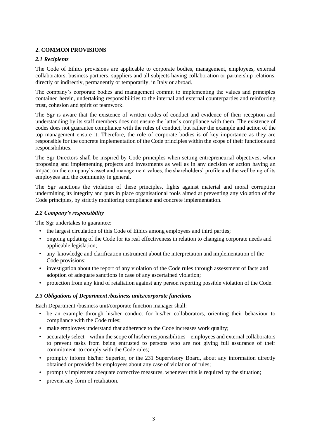## **2. COMMON PROVISIONS**

## *2.1 Recipients*

The Code of Ethics provisions are applicable to corporate bodies, management, employees, external collaborators, business partners, suppliers and all subjects having collaboration or partnership relations, directly or indirectly, permanently or temporarily, in Italy or abroad.

The company's corporate bodies and management commit to implementing the values and principles contained herein, undertaking responsibilities to the internal and external counterparties and reinforcing trust, cohesion and spirit of teamwork.

The Sgr is aware that the existence of written codes of conduct and evidence of their reception and understanding by its staff members does not ensure the latter's compliance with them. The existence of codes does not guarantee compliance with the rules of conduct, but rather the example and action of the top management ensure it. Therefore, the role of corporate bodies is of key importance as they are responsible for the concrete implementation of the Code principles within the scope of their functions and responsibilities.

The Sgr Directors shall be inspired by Code principles when setting entrepreneurial objectives, when proposing and implementing projects and investments as well as in any decision or action having an impact on the company's asset and management values, the shareholders' profile and the wellbeing of its employees and the community in general.

The Sgr sanctions the violation of these principles, fights against material and moral corruption undermining its integrity and puts in place organisational tools aimed at preventing any violation of the Code principles, by strictly monitoring compliance and concrete implementation.

#### *2.2 Company's responsibility*

The Sgr undertakes to guarantee:

- the largest circulation of this Code of Ethics among employees and third parties;
- ongoing updating of the Code for its real effectiveness in relation to changing corporate needs and applicable legislation;
- any knowledge and clarification instrument about the interpretation and implementation of the Code provisions;
- investigation about the report of any violation of the Code rules through assessment of facts and adoption of adequate sanctions in case of any ascertained violation;
- protection from any kind of retaliation against any person reporting possible violation of the Code.

## *2.3 Obligations of Department /business units/corporate functions*

Each Department /business unit/corporate function manager shall:

- be an example through his/her conduct for his/her collaborators, orienting their behaviour to compliance with the Code rules;
- make employees understand that adherence to the Code increases work quality;
- accurately select within the scope of his/her responsibilities employees and external collaborators to prevent tasks from being entrusted to persons who are not giving full assurance of their commitment to comply with the Code rules;
- promptly inform his/her Superior, or the 231 Supervisory Board, about any information directly obtained or provided by employees about any case of violation of rules;
- promptly implement adequate corrective measures, whenever this is required by the situation;
- prevent any form of retaliation.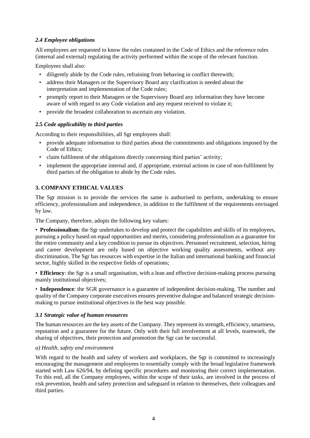## *2.4 Employee obligations*

All employees are requested to know the rules contained in the Code of Ethics and the reference rules (internal and external) regulating the activity performed within the scope of the relevant function.

Employees shall also:

- diligently abide by the Code rules, refraining from behaving in conflict therewith;
- address their Managers or the Supervisory Board any clarification is needed about the interpretation and implementation of the Code rules;
- promptly report to their Managers or the Supervisory Board any information they have become aware of with regard to any Code violation and any request received to violate it;
- provide the broadest collaboration to ascertain any violation.

## **2.5** *Code applicability to third parties*

According to their responsibilities, all Sgr employees shall:

- provide adequate information to third parties about the commitments and obligations imposed by the Code of Ethics;
- claim fulfilment of the obligations directly concerning third parties' activity;
- implement the appropriate internal and, if appropriate, external actions in case of non-fulfilment by third parties of the obligation to abide by the Code rules.

## **3. COMPANY ETHICAL VALUES**

The Sgr mission is to provide the services the same is authorised to perform, undertaking to ensure efficiency, professionalism and independence, in addition to the fulfilment of the requirements envisaged by law.

The Company, therefore, adopts the following key values:

• **Professionalism**: the Sgr undertakes to develop and protect the capabilities and skills of its employees, pursuing a policy based on equal opportunities and merits, considering professionalism as a guarantee for the entire community and a key condition to pursue its objectives. Personnel recruitment, selection, hiring and career development are only based on objective working quality assessments, without any discrimination. The Sgr has resources with expertise in the Italian and international banking and financial sector, highly skilled in the respective fields of operations;

• **Efficiency**: the Sgr is a small organisation, with a lean and effective decision-making process pursuing mainly institutional objectives;

• **Independence**: the SGR governance is a guarantee of independent decision-making. The number and quality of the Company corporate executives ensures preventive dialogue and balanced strategic decisionmaking to pursue institutional objectives in the best way possible.

#### *3.1 Strategic value of human resources*

The human resources are the key assets of the Company. They represent its strength, efficiency, smartness, reputation and a guarantee for the future. Only with their full involvement at all levels, teamwork, the sharing of objectives, their protection and promotion the Sgr can be successful.

#### *a) Health, safety and environment*

With regard to the health and safety of workers and workplaces, the Sgr is committed to increasingly encouraging the management and employees to essentially comply with the broad legislative framework started with Law 626/94, by defining specific procedures and monitoring their correct implementation. To this end, all the Company employees, within the scope of their tasks, are involved in the process of risk prevention, health and safety protection and safeguard in relation to themselves, their colleagues and third parties.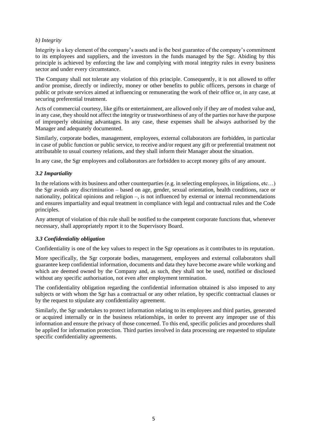#### *b) Integrity*

Integrity is a key element of the company's assets and is the best guarantee of the company's commitment to its employees and suppliers, and the investors in the funds managed by the Sgr. Abiding by this principle is achieved by enforcing the law and complying with moral integrity rules in every business sector and under every circumstance.

The Company shall not tolerate any violation of this principle. Consequently, it is not allowed to offer and/or promise, directly or indirectly, money or other benefits to public officers, persons in charge of public or private services aimed at influencing or remunerating the work of their office or, in any case, at securing preferential treatment.

Acts of commercial courtesy, like gifts or entertainment, are allowed only if they are of modest value and, in any case, they should not affect the integrity or trustworthiness of any of the parties nor have the purpose of improperly obtaining advantages. In any case, these expenses shall be always authorised by the Manager and adequately documented.

Similarly, corporate bodies, management, employees, external collaborators are forbidden, in particular in case of public function or public service, to receive and/or request any gift or preferential treatment not attributable to usual courtesy relations, and they shall inform their Manager about the situation.

In any case, the Sgr employees and collaborators are forbidden to accept money gifts of any amount.

#### *3.2 Impartiality*

In the relations with its business and other counterparties (e.g. in selecting employees, in litigations, etc...) the Sgr avoids any discrimination – based on age, gender, sexual orientation, health conditions, race or nationality, political opinions and religion –, is not influenced by external or internal recommendations and ensures impartiality and equal treatment in compliance with legal and contractual rules and the Code principles.

Any attempt of violation of this rule shall be notified to the competent corporate functions that, whenever necessary, shall appropriately report it to the Supervisory Board.

#### *3.3 Confidentiality obligation*

Confidentiality is one of the key values to respect in the Sgr operations as it contributes to its reputation.

More specifically, the Sgr corporate bodies, management, employees and external collaborators shall guarantee keep confidential information, documents and data they have become aware while working and which are deemed owned by the Company and, as such, they shall not be used, notified or disclosed without any specific authorisation, not even after employment termination.

The confidentiality obligation regarding the confidential information obtained is also imposed to any subjects or with whom the Sgr has a contractual or any other relation, by specific contractual clauses or by the request to stipulate any confidentiality agreement.

Similarly, the Sgr undertakes to protect information relating to its employees and third parties, generated or acquired internally or in the business relationships, in order to prevent any improper use of this information and ensure the privacy of those concerned. To this end, specific policies and procedures shall be applied for information protection. Third parties involved in data processing are requested to stipulate specific confidentiality agreements.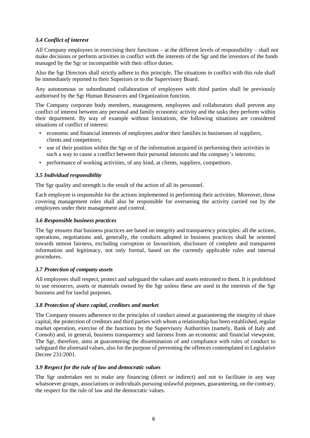## *3.4 Conflict of interest*

All Company employees in exercising their functions – at the different levels of responsibility – shall not make decisions or perform activities in conflict with the interests of the Sgr and the investors of the funds managed by the Sgr or incompatible with their office duties.

Also the Sgr Directors shall strictly adhere to this principle. The situations in conflict with this rule shall be immediately reported to their Superiors or to the Supervisory Board.

Any autonomous or subordinated collaboration of employees with third parties shall be previously authorised by the Sgr Human Resources and Organization function.

The Company corporate body members, management, employees and collaborators shall prevent any conflict of interest between any personal and family economic activity and the tasks they perform within their department. By way of example without limitations, the following situations are considered situations of conflict of interest:

- economic and financial interests of employees and/or their families in businesses of suppliers, clients and competitors;
- use of their position within the Sgr or of the information acquired in performing their activities in such a way to cause a conflict between their personal interests and the company's interests;
- performance of working activities, of any kind, at clients, suppliers, competitors.

#### *3.5 Individual responsibility*

The Sgr quality and strength is the result of the action of all its personnel.

Each employee is responsible for the actions implemented in performing their activities. Moreover, those covering management roles shall also be responsible for overseeing the activity carried out by the employees under their management and control.

#### *3.6 Responsible business practices*

The Sgr ensures that business practices are based on integrity and transparency principles: all the actions, operations, negotiations and, generally, the conducts adopted in business practices shall be oriented towards utmost fairness, excluding corruption or favouritism, disclosure of complete and transparent information and legitimacy, not only formal, based on the currently applicable rules and internal procedures.

#### *3.7 Protection of company assets*

All employees shall respect, protect and safeguard the values and assets entrusted to them. It is prohibited to use resources, assets or materials owned by the Sgr unless these are used in the interests of the Sgr business and for lawful purposes.

#### *3.8 Protection of share capital, creditors and market*

The Company ensures adherence to the principles of conduct aimed at guaranteeing the integrity of share capital, the protection of creditors and third parties with whom a relationship has been established, regular market operation, exercise of the functions by the Supervisory Authorities (namely, Bank of Italy and Consob) and, in general, business transparency and fairness from an economic and financial viewpoint. The Sgr, therefore, aims at guaranteeing the dissemination of and compliance with rules of conduct to safeguard the aforesaid values, also for the purpose of preventing the offences contemplated in Legislative Decree 231/2001.

#### *3.9 Respect for the rule of law and democratic values*

The Sgr undertakes not to make any financing (direct or indirect) and not to facilitate in any way whatsoever groups, associations or individuals pursuing unlawful purposes, guaranteeing, on the contrary, the respect for the rule of law and the democratic values.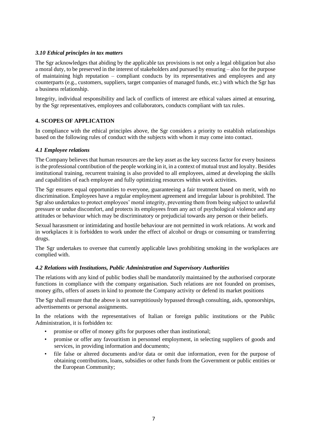## *3.10 Ethical principles in tax matters*

The Sgr acknowledges that abiding by the applicable tax provisions is not only a legal obligation but also a moral duty, to be preserved in the interest of stakeholders and pursued by ensuring – also for the purpose of maintaining high reputation – compliant conducts by its representatives and employees and any counterparts (e.g., customers, suppliers, target companies of managed funds, etc.) with which the Sgr has a business relationship.

Integrity, individual responsibility and lack of conflicts of interest are ethical values aimed at ensuring, by the Sgr representatives, employees and collaborators, conducts compliant with tax rules.

#### **4. SCOPES OF APPLICATION**

In compliance with the ethical principles above, the Sgr considers a priority to establish relationships based on the following rules of conduct with the subjects with whom it may come into contact.

#### *4.1 Employee relations*

The Company believes that human resources are the key asset as the key success factor for every business is the professional contribution of the people working in it, in a context of mutual trust and loyalty. Besides institutional training, recurrent training is also provided to all employees, aimed at developing the skills and capabilities of each employee and fully optimizing resources within work activities.

The Sgr ensures equal opportunities to everyone, guaranteeing a fair treatment based on merit, with no discrimination. Employees have a regular employment agreement and irregular labour is prohibited. The Sgr also undertakes to protect employees' moral integrity, preventing them from being subject to unlawful pressure or undue discomfort, and protects its employees from any act of psychological violence and any attitudes or behaviour which may be discriminatory or prejudicial towards any person or their beliefs.

Sexual harassment or intimidating and hostile behaviour are not permitted in work relations. At work and in workplaces it is forbidden to work under the effect of alcohol or drugs or consuming or transferring drugs.

The Sgr undertakes to oversee that currently applicable laws prohibiting smoking in the workplaces are complied with.

## *4.2 Relations with Institutions, Public Administration and Supervisory Authorities*

The relations with any kind of public bodies shall be mandatorily maintained by the authorised corporate functions in compliance with the company organisation. Such relations are not founded on promises, money gifts, offers of assets in kind to promote the Company activity or defend its market positions

The Sgr shall ensure that the above is not surreptitiously bypassed through consulting, aids, sponsorships, advertisements or personal assignments.

In the relations with the representatives of Italian or foreign public institutions or the Public Administration, it is forbidden to:

- promise or offer of money gifts for purposes other than institutional;
- promise or offer any favouritism in personnel employment, in selecting suppliers of goods and services, in providing information and documents;
- file false or altered documents and/or data or omit due information, even for the purpose of obtaining contributions, loans, subsidies or other funds from the Government or public entities or the European Community;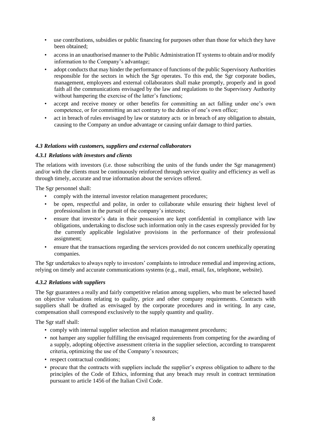- use contributions, subsidies or public financing for purposes other than those for which they have been obtained;
- access in an unauthorised manner to the Public Administration IT systems to obtain and/or modify information to the Company's advantage;
- adopt conducts that may hinder the performance of functions of the public Supervisory Authorities responsible for the sectors in which the Sgr operates. To this end, the Sgr corporate bodies, management, employees and external collaborators shall make promptly, properly and in good faith all the communications envisaged by the law and regulations to the Supervisory Authority without hampering the exercise of the latter's functions;
- accept and receive money or other benefits for committing an act falling under one's own competence, or for committing an act contrary to the duties of one's own office;
- act in breach of rules envisaged by law or statutory acts or in breach of any obligation to abstain, causing to the Company an undue advantage or causing unfair damage to third parties.

#### *4.3 Relations with customers, suppliers and external collaborators*

#### *4.3.1 Relations with investors and clients*

The relations with investors (i.e. those subscribing the units of the funds under the Sgr management) and/or with the clients must be continuously reinforced through service quality and efficiency as well as through timely, accurate and true information about the services offered.

The Sgr personnel shall:

- comply with the internal investor relation management procedures;
- be open, respectful and polite, in order to collaborate while ensuring their highest level of professionalism in the pursuit of the company's interests;
- ensure that investor's data in their possession are kept confidential in compliance with law obligations, undertaking to disclose such information only in the cases expressly provided for by the currently applicable legislative provisions in the performance of their professional assignment;
- ensure that the transactions regarding the services provided do not concern unethically operating companies.

The Sgr undertakes to always reply to investors' complaints to introduce remedial and improving actions, relying on timely and accurate communications systems (e.g., mail, email, fax, telephone, website).

#### *4.3.2 Relations with suppliers*

The Sgr guarantees a really and fairly competitive relation among suppliers, who must be selected based on objective valuations relating to quality, price and other company requirements. Contracts with suppliers shall be drafted as envisaged by the corporate procedures and in writing. In any case, compensation shall correspond exclusively to the supply quantity and quality.

The Sgr staff shall:

- comply with internal supplier selection and relation management procedures;
- not hamper any supplier fulfilling the envisaged requirements from competing for the awarding of a supply, adopting objective assessment criteria in the supplier selection, according to transparent criteria, optimizing the use of the Company's resources;
- respect contractual conditions;
- procure that the contracts with suppliers include the supplier's express obligation to adhere to the principles of the Code of Ethics, informing that any breach may result in contract termination pursuant to article 1456 of the Italian Civil Code.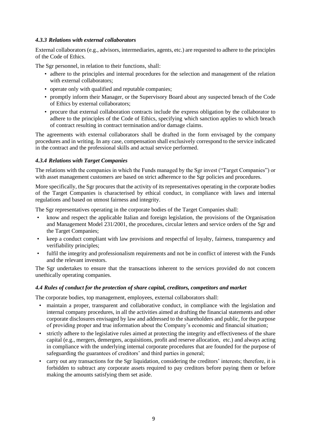#### *4.3.3 Relations with external collaborators*

External collaborators (e.g., advisors, intermediaries, agents, etc.) are requested to adhere to the principles of the Code of Ethics.

The Sgr personnel, in relation to their functions, shall:

- adhere to the principles and internal procedures for the selection and management of the relation with external collaborators;
- operate only with qualified and reputable companies;
- promptly inform their Manager, or the Supervisory Board about any suspected breach of the Code of Ethics by external collaborators;
- procure that external collaboration contracts include the express obligation by the collaborator to adhere to the principles of the Code of Ethics, specifying which sanction applies to which breach of contract resulting in contract termination and/or damage claims.

The agreements with external collaborators shall be drafted in the form envisaged by the company procedures and in writing. In any case, compensation shall exclusively correspond to the service indicated in the contract and the professional skills and actual service performed.

## *4.3.4 Relations with Target Companies*

The relations with the companies in which the Funds managed by the Sgr invest ("Target Companies") or with asset management customers are based on strict adherence to the Sgr policies and procedures.

More specifically, the Sgr procures that the activity of its representatives operating in the corporate bodies of the Target Companies is characterised by ethical conduct, in compliance with laws and internal regulations and based on utmost fairness and integrity.

The Sgr representatives operating in the corporate bodies of the Target Companies shall:

- know and respect the applicable Italian and foreign legislation, the provisions of the Organisation and Management Model 231/2001, the procedures, circular letters and service orders of the Sgr and the Target Companies;
- keep a conduct compliant with law provisions and respectful of loyalty, fairness, transparency and verifiability principles;
- fulfil the integrity and professionalism requirements and not be in conflict of interest with the Funds and the relevant investors.

The Sgr undertakes to ensure that the transactions inherent to the services provided do not concern unethically operating companies.

## *4.4 Rules of conduct for the protection of share capital, creditors, competitors and market*

The corporate bodies, top management, employees, external collaborators shall:

- maintain a proper, transparent and collaborative conduct, in compliance with the legislation and internal company procedures, in all the activities aimed at drafting the financial statements and other corporate disclosures envisaged by law and addressed to the shareholders and public, for the purpose of providing proper and true information about the Company's economic and financial situation;
- strictly adhere to the legislative rules aimed at protecting the integrity and effectiveness of the share capital (e.g., mergers, demergers, acquisitions, profit and reserve allocation, etc.) and always acting in compliance with the underlying internal corporate procedures that are founded for the purpose of safeguarding the guarantees of creditors' and third parties in general;
- carry out any transactions for the Sgr liquidation, considering the creditors' interests; therefore, it is forbidden to subtract any corporate assets required to pay creditors before paying them or before making the amounts satisfying them set aside.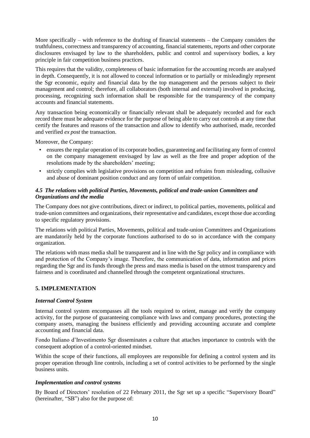More specifically – with reference to the drafting of financial statements – the Company considers the truthfulness, correctness and transparency of accounting, financial statements, reports and other corporate disclosures envisaged by law to the shareholders, public and control and supervisory bodies, a key principle in fair competition business practices.

This requires that the validity, completeness of basic information for the accounting records are analysed in depth. Consequently, it is not allowed to conceal information or to partially or misleadingly represent the Sgr economic, equity and financial data by the top management and the persons subject to their management and control; therefore, all collaborators (both internal and external) involved in producing, processing, recognizing such information shall be responsible for the transparency of the company accounts and financial statements.

Any transaction being economically or financially relevant shall be adequately recorded and for each record there must be adequate evidence for the purpose of being able to carry out controls at any time that certify the features and reasons of the transaction and allow to identify who authorised, made, recorded and verified *ex post* the transaction.

Moreover, the Company:

- ensures the regular operation of its corporate bodies, guaranteeing and facilitating any form of control on the company management envisaged by law as well as the free and proper adoption of the resolutions made by the shareholders' meeting;
- strictly complies with legislative provisions on competition and refrains from misleading, collusive and abuse of dominant position conduct and any form of unfair competition.

## *4.5 The relations with political Parties, Movements, political and trade-union Committees and Organizations and the media*

The Company does not give contributions, direct or indirect, to political parties, movements, political and trade-union committees and organizations, their representative and candidates, except those due according to specific regulatory provisions.

The relations with political Parties, Movements, political and trade-union Committees and Organizations are mandatorily held by the corporate functions authorised to do so in accordance with the company organization.

The relations with mass media shall be transparent and in line with the Sgr policy and in compliance with and protection of the Company's image. Therefore, the communication of data, information and prices regarding the Sgr and its funds through the press and mass media is based on the utmost transparency and fairness and is coordinated and channelled through the competent organizational structures.

## **5. IMPLEMENTATION**

#### *Internal Control System*

Internal control system encompasses all the tools required to orient, manage and verify the company activity, for the purpose of guaranteeing compliance with laws and company procedures, protecting the company assets, managing the business efficiently and providing accounting accurate and complete accounting and financial data.

Fondo Italiano d'Investimento Sgr disseminates a culture that attaches importance to controls with the consequent adoption of a control-oriented mindset.

Within the scope of their functions, all employees are responsible for defining a control system and its proper operation through line controls, including a set of control activities to be performed by the single business units.

#### *Implementation and control systems*

By Board of Directors' resolution of 22 February 2011, the Sgr set up a specific "Supervisory Board" (hereinafter, "SB") also for the purpose of: